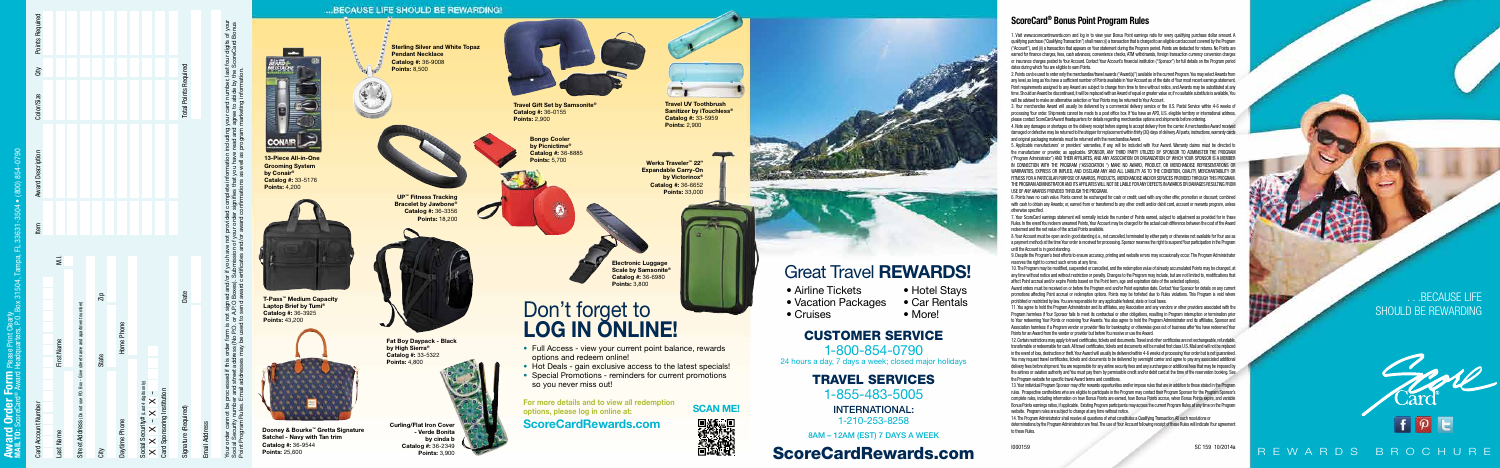ScoreCard® Bonus Point Program Rules

1. Visit www.scorecardrewards.com and log in to view your Bonus Point earnings ratio for every qualifying purchase dollar amount. A qualifying purchase ("Qualifying Transaction") shall mean: (i) a transaction that is charged to an eligible card account covered by the Program ("Account"), and (ii) a transaction that appears on Your statement during the Program period. Points are deducted for returns. No Points are earned for finance charges, fees, cash advances, convenience checks, ATM withdrawals, foreign transaction currency conversion charges or insurance charges posted to Your Account. Contact Your Account's financial institution ("Sponsor") for full details on the Program period dates during which You are eligible to earn Points.

2. Points can be used to order only the merchandise/travel awards ("Award(s)") available in the current Program. You may select Awards from any level, as long as You have a sufficient number of Points available in Your Account as of the date of Your most recent earnings statement. Point requirements assigned to any Award are subject to change from time to time without notice, and Awards may be substituted at any time. Should an Award be discontinued, it will be replaced with an Award of equal or greater value or, if no suitable substitute is available, You will be advised to make an alternative selection or Your Points may be returned to Your Account.

3. Your merchandise Award will usually be delivered by a commercial delivery service or the U.S. Postal Service within 4-6 weeks of processing Your order. Shipments cannot be made to a post office box. If You have an APO, U.S. elegible territory or international address, please contact ScoreCard Award Headquarters for details regarding merchandise options and shipments before ordering.

4. Note any damages or shortages on the delivery receipt before signing to accept delivery from the carrier. A merchandise Award received damaged or defective may be returned to the shipper for replacement within thirty (30) days of delivery. All parts, instructions, warranty cards and original packaging materials must be returned with the merchandise Award.

5. Applicable manufacturers' or providers' warranties, if any, will be included with Your Award. Warranty claims must be directed to the manufacturer or provider, as applicable. SPONSOR, ANY THIRD PARTY UTILIZED BY SPONSOR TO ADMINISTER THE PROGRAM ("Program Administrator") AND THEIR AFFILIATES, AND ANY ASSOCIATION OR ORGANIZATION OF WHICH YOUR SPONSOR IS A MEMBER IN CONNECTION WITH THE PROGRAM ("ASSOCIATION ") MAKE NO AWARD, PRODUCT, OR MERCHANDISE REPRESENTATIONS OR WARRANTIES, EXPRESS OR IMPLIED, AND DISCLAIM ANY AND ALL LIABILITY AS TO THE CONDITION, QUALITY, MERCHANTABILITY OR FITNESS FOR A PARTICULAR PURPOSE OF AWARDS, PRODUCTS, MERCHANDISE AND/OR SERVICES PROVIDED THROUGH THIS PROGRAM. THE PROGRAM ADMINISTRATOR AND ITS AFFILIATES WILL NOT BE LIABLE FOR ANY DEFECTS IN AWARDS OR DAMAGES RESULTING FROM USE OF ANY AWARDS PROVIDED THROUGH THE PROGRAM.

6. Points have no cash value. Points cannot be exchanged for cash or credit; used with any other offer, promotion or discount; combined with cash to obtain any Awards; or, earned from or transferred to any other credit and/or debit card, account or rewards program, unless otherwise specified.

7. Your ScoreCard earnings statement will normally include the number of Points earned, subject to adjustment as provided for in these Rules. In the event You redeem unearned Points, Your Account may be charged for the actual cash difference between the cost of the Award redeemed and the net value of the actual Points available.

8. Your Account must be open and in good standing (i.e., not cancelled, terminated by either party or otherwise not available for Your use as a payment method) at the time Your order is received for processing. Sponsor reserves the right to suspend Your participation in the Program until the Account is in good standing.

# **Don't forget to Car Rental Construction Packages** • Car Rental Construction Packages • Car Rental Construction Packages • Car Rental Construction Packages • Car Rental Construction Packages • Car Rental Construction Pac LOG IN ONLINE!

- Full Access view your current point balance, rewards options and redeem online!
- 
- Special Promotions reminders for current promotions so you never miss out!

9. Despite the Program's best efforts to ensure accuracy, printing and website errors may occasionally occur. The Program Administrator reserves the right to correct such errors at any time.

**CONAIR** 13-Piece All-in-One Grooming System by Conair® Catalog #: 33-5176 Points: 4,200 T-Pass™ Medium Capacity Laptop Brief by Tumi® Catalog #: 36-3925 Points: 43,200 Dooney & Bourke™ Gretta Signature Satchel - Navy with Tan trim Catalog #: 36-9544 Points: 25,600

## ... BECAUSE LIFE SHOULD BE REWARDING!

10. The Program may be modified, suspended or cancelled, and the redemption value of already accumulated Points may be changed, at any time without notice and without restriction or penalty. Changes to the Program may include, but are not limited to, modifications that affect Point accrual and/or expire Points based on the Point term, age and expiration date of the selected option(s).

UP<sup>™</sup> Fitness Tracking **Bracelet by Jawbone** Catalog #: 36-3356 Points: 18,200

| Card Account Number                                                                                     |                   |      |                         | ltem | Award Description | Color/Size                   | dty | Points Required |
|---------------------------------------------------------------------------------------------------------|-------------------|------|-------------------------|------|-------------------|------------------------------|-----|-----------------|
|                                                                                                         |                   |      |                         |      |                   |                              |     |                 |
| Last Name                                                                                               | <b>First Name</b> |      | $\overline{\mathbf{z}}$ |      |                   |                              |     |                 |
|                                                                                                         |                   |      |                         |      |                   |                              |     |                 |
| Street Address (Do not use P.O. Box - Give street name and apartment number)                            |                   |      |                         |      |                   |                              |     |                 |
|                                                                                                         |                   |      |                         |      |                   |                              |     |                 |
| ćity                                                                                                    | State             | Zip  |                         |      |                   |                              |     |                 |
|                                                                                                         |                   |      |                         |      |                   |                              |     |                 |
| Daytime Phone                                                                                           | Home Phone        |      |                         |      |                   |                              |     |                 |
|                                                                                                         |                   |      |                         |      |                   |                              |     |                 |
|                                                                                                         |                   |      |                         |      |                   |                              |     |                 |
| Social Security# (Last 4 digits only)<br>X     X     X     ×     X     X<br>Card Sponsoring Institution |                   |      |                         |      |                   |                              |     |                 |
|                                                                                                         |                   |      |                         |      |                   |                              |     |                 |
|                                                                                                         |                   |      |                         |      |                   |                              |     |                 |
| Signature (Required)                                                                                    |                   | Date |                         |      |                   | <b>Total Points Required</b> |     |                 |

Award orders must be received on or before the Program end and/or Point expiration date. Contact Your Sponsor for details on any current promotions affecting Point accrual or redemption options. Points may be forfeited due to Rules violations. This Program is void where prohibited or restricted by law. You are responsible for any applicable federal, state or local taxes.

# Your order cannot be processed if this order form is not signed and/or if you have not provided complete information including your card number, last four digits of your Social Security number and street address (No P.O. or A.P.O Boxes). Submission of your order signifies that you have read and agree to abide by the ScoreCard Bonus Point Program Rules. Email addresses may be used to send award certificates and/or award confirmations as well as program marketing information. including your card number, last<br>read and agree to abide by the<br>procram markating information ormation i<br>you have ı<br>as well as ı not signed<br>or A.P.O Bo.<br>I to send aw  $rac{1}{2}$   $rac{1}{2}$   $rac{1}{2}$

11. You agree to hold the Program Administrator and its affiliates, any Association and any vendors or other providers associated with the Program harmless if Your Sponsor fails to meet its contractual or other obligations, resulting in Program interruption or termination prior to Your redeeming Your Points or receiving Your Awards. You also agree to hold the Program Administrator and its affiliates, Sponsor and Association harmless if a Program vendor or provider files for bankruptcy, or otherwise goes out of business after You have redeemed Your Points for an Award from the vendor or provider but before You receive or use the Award.

12. Certain restrictions may apply to travel certificates, tickets and documents. Travel and other certificates are not exchangeable, refundable, transferrable or redeemable for cash. All travel certificates, tickets and documents will be mailed first class U.S. Mail and will not be replaced in the event of loss, destruction or theft. Your Award will usually be delivered within 4-6 weeks of processing Your order but is not guaranteed. You may request travel certificates, tickets and documents to be delivered by overnight carrier and agree to pay any associated additional delivery fees before shipment. You are responsible for any airline security fees and any surcharges or additional fees that may be imposed by the airlines or aviation authority and You must pay them by permissible credit and/or debit card at the time of the reservation booking. See the Program website for specific travel Award terms and conditions.

13. Your individual Program Sponsor may offer rewards opportunities and/or impose rules that are in addition to those stated in the Program rules. Prospective cardholders who are eligible to participate in the Program may contact their Program Sponsor for the Program Sponsor's complete rules, including information on how Bonus Points are earned, how Bonus Points accrue, when Bonus Points expire, and variable Bonus Points earnings ratios, if applicable. Existing Program participants may access the current Program Rules at any time on the Program website. Program rules are subject to change at any time without notice.

14. The Program Administrator shall resolve all questions of what constitutes a Qualifying Transaction. All such resolutions or determinations by the Program Administrator are final. The use of Your Account following receipt of these Rules will indicate Your agreement to these Rules.

# . . .BECAUSE LIFE SHOULD BE REWARDING



# REWARDS BROCHURE

# CUSTOMER SERVICE

1-800-854-0790 24 hours a day, 7 days a week; closed major holidays

> TRAVEL SERVICES 1-855-483-5005

> > INTERNATIONAL: 1-210-253-8258



- Hotel Stays<br>• Car Rentals
- 
- 

### 8AM – 12AM (EST) 7 DAYS A WEEK





- 
- Hot Deals gain exclusive access to the latest specials!









# Great Travel REWARDS!

- Airline Tickets
- Vacation Packages
- Cruises

For more details and to view all redemption options, please log in online at:

ScoreCardRewards.com



Travel Gift Set by Samsonite® Catalog #: 36-0155 Points: 2,900

Curling/Flat Iron Cover - Verde Bonita by cinda b Catalog #: 36-2349 Points: 3,900

Werks Traveler™ 22" Expandable Carry-On by Victorinox® Catalog #: 36-6652 Points: 33,000

Sterling Silver and White Topaz Pendant Necklace Catalog #: 36-9008 Points: 8,500

Fat Boy Daypack - Black by High Sierra® Catalog #: 33-5322 Points: 4,800



Electronic Luggage Scale by Samsonite® Catalog #: 36-6980 Points: 3,800

Bongo Cooler by Picnictime® Catalog #: 36-8885 Points: 5,700



Travel UV Toothbrush Sanitizer by iTouchless<sup>®</sup> Catalog #: 33-5959 Points: 2,900

### I000159 SC 159 10/2014a

Email Address